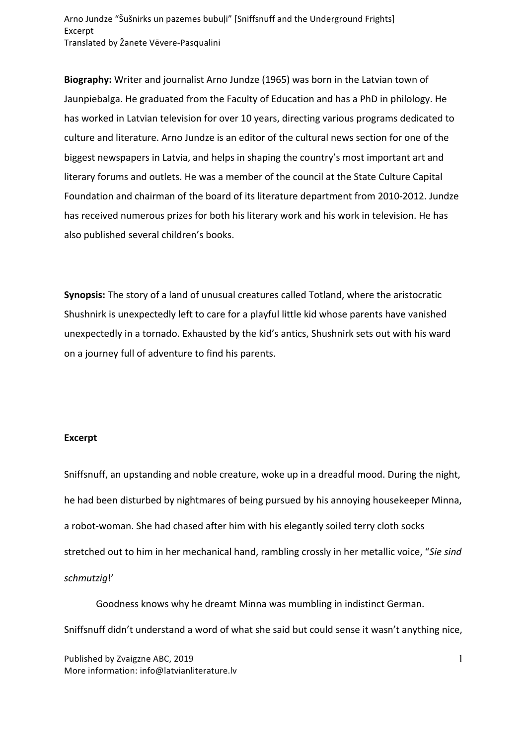Arno Jundze "Šušnirks un pazemes bubuļi" [Sniffsnuff and the Underground Frights] Excerpt Translated by Žanete Vēvere-Pasqualini

**Biography:** Writer and journalist Arno Jundze (1965) was born in the Latvian town of Jaunpiebalga. He graduated from the Faculty of Education and has a PhD in philology. He has worked in Latvian television for over 10 years, directing various programs dedicated to culture and literature. Arno Jundze is an editor of the cultural news section for one of the biggest newspapers in Latvia, and helps in shaping the country's most important art and literary forums and outlets. He was a member of the council at the State Culture Capital Foundation and chairman of the board of its literature department from 2010-2012. Jundze has received numerous prizes for both his literary work and his work in television. He has also published several children's books.

**Synopsis:** The story of a land of unusual creatures called Totland, where the aristocratic Shushnirk is unexpectedly left to care for a playful little kid whose parents have vanished unexpectedly in a tornado. Exhausted by the kid's antics, Shushnirk sets out with his ward on a journey full of adventure to find his parents.

## **Excerpt**

Sniffsnuff, an upstanding and noble creature, woke up in a dreadful mood. During the night, he had been disturbed by nightmares of being pursued by his annoying housekeeper Minna, a robot-woman. She had chased after him with his elegantly soiled terry cloth socks stretched out to him in her mechanical hand, rambling crossly in her metallic voice, "Sie sind *schmutzig*!'

Goodness knows why he dreamt Minna was mumbling in indistinct German. Sniffsnuff didn't understand a word of what she said but could sense it wasn't anything nice,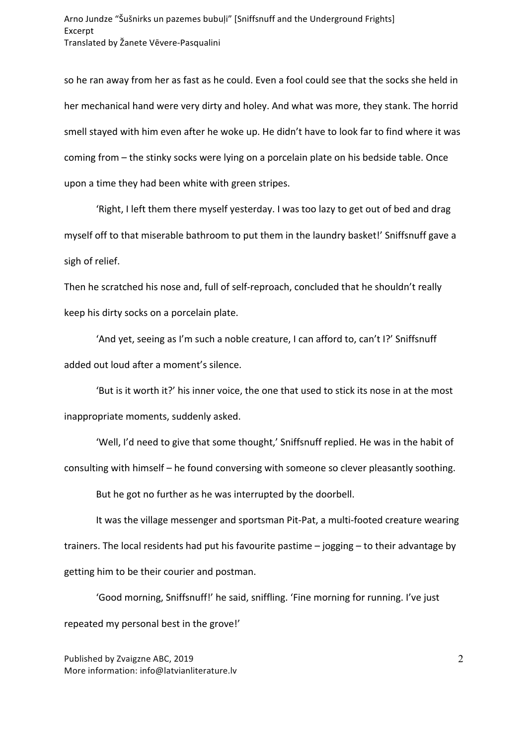so he ran away from her as fast as he could. Even a fool could see that the socks she held in her mechanical hand were very dirty and holey. And what was more, they stank. The horrid smell stayed with him even after he woke up. He didn't have to look far to find where it was coming from – the stinky socks were lying on a porcelain plate on his bedside table. Once upon a time they had been white with green stripes.

'Right, I left them there myself yesterday. I was too lazy to get out of bed and drag myself off to that miserable bathroom to put them in the laundry basket!' Sniffsnuff gave a sigh of relief.

Then he scratched his nose and, full of self-reproach, concluded that he shouldn't really keep his dirty socks on a porcelain plate.

'And yet, seeing as I'm such a noble creature, I can afford to, can't I?' Sniffsnuff added out loud after a moment's silence.

'But is it worth it?' his inner voice, the one that used to stick its nose in at the most inappropriate moments, suddenly asked.

'Well, I'd need to give that some thought,' Sniffsnuff replied. He was in the habit of consulting with himself – he found conversing with someone so clever pleasantly soothing.

But he got no further as he was interrupted by the doorbell.

It was the village messenger and sportsman Pit-Pat, a multi-footed creature wearing trainers. The local residents had put his favourite pastime  $-$  jogging  $-$  to their advantage by getting him to be their courier and postman.

'Good morning, Sniffsnuff!' he said, sniffling. 'Fine morning for running. I've just repeated my personal best in the grove!'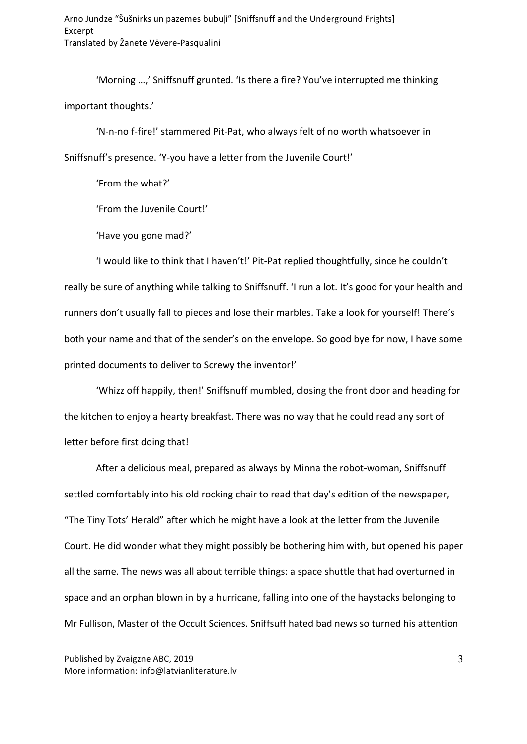Arno Jundze "Šušnirks un pazemes bubuļi" [Sniffsnuff and the Underground Frights] Excerpt Translated by Žanete Vēvere-Pasqualini

'Morning ...,' Sniffsnuff grunted. 'Is there a fire? You've interrupted me thinking important thoughts.'

'N-n-no f-fire!' stammered Pit-Pat, who always felt of no worth whatsoever in Sniffsnuff's presence. 'Y-you have a letter from the Juvenile Court!'

'From the what?'

'From the Juvenile Court!'

'Have you gone mad?'

'I would like to think that I haven't!' Pit-Pat replied thoughtfully, since he couldn't really be sure of anything while talking to Sniffsnuff. 'I run a lot. It's good for your health and runners don't usually fall to pieces and lose their marbles. Take a look for yourself! There's both your name and that of the sender's on the envelope. So good bye for now, I have some printed documents to deliver to Screwy the inventor!'

'Whizz off happily, then!' Sniffsnuff mumbled, closing the front door and heading for the kitchen to enjoy a hearty breakfast. There was no way that he could read any sort of letter before first doing that!

After a delicious meal, prepared as always by Minna the robot-woman, Sniffsnuff settled comfortably into his old rocking chair to read that day's edition of the newspaper, "The Tiny Tots' Herald" after which he might have a look at the letter from the Juvenile Court. He did wonder what they might possibly be bothering him with, but opened his paper all the same. The news was all about terrible things: a space shuttle that had overturned in space and an orphan blown in by a hurricane, falling into one of the haystacks belonging to Mr Fullison, Master of the Occult Sciences. Sniffsuff hated bad news so turned his attention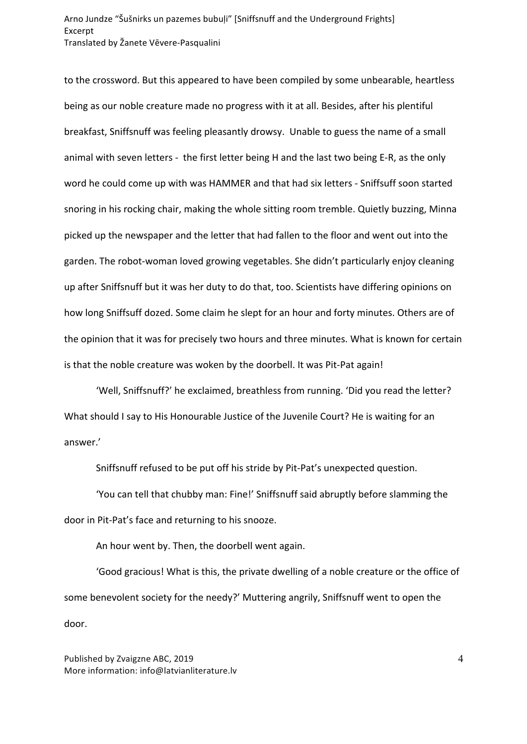## Arno Jundze "Šušnirks un pazemes bubuļi" [Sniffsnuff and the Underground Frights] Excerpt Translated by Žanete Vēvere-Pasqualini

to the crossword. But this appeared to have been compiled by some unbearable, heartless being as our noble creature made no progress with it at all. Besides, after his plentiful breakfast, Sniffsnuff was feeling pleasantly drowsy. Unable to guess the name of a small animal with seven letters - the first letter being H and the last two being E-R, as the only word he could come up with was HAMMER and that had six letters - Sniffsuff soon started snoring in his rocking chair, making the whole sitting room tremble. Quietly buzzing, Minna picked up the newspaper and the letter that had fallen to the floor and went out into the garden. The robot-woman loved growing vegetables. She didn't particularly enjoy cleaning up after Sniffsnuff but it was her duty to do that, too. Scientists have differing opinions on how long Sniffsuff dozed. Some claim he slept for an hour and forty minutes. Others are of the opinion that it was for precisely two hours and three minutes. What is known for certain is that the noble creature was woken by the doorbell. It was Pit-Pat again!

'Well, Sniffsnuff?' he exclaimed, breathless from running. 'Did you read the letter? What should I say to His Honourable Justice of the Juvenile Court? He is waiting for an answer.'

Sniffsnuff refused to be put off his stride by Pit-Pat's unexpected question.

'You can tell that chubby man: Fine!' Sniffsnuff said abruptly before slamming the door in Pit-Pat's face and returning to his snooze.

An hour went by. Then, the doorbell went again.

'Good gracious! What is this, the private dwelling of a noble creature or the office of some benevolent society for the needy?' Muttering angrily, Sniffsnuff went to open the door.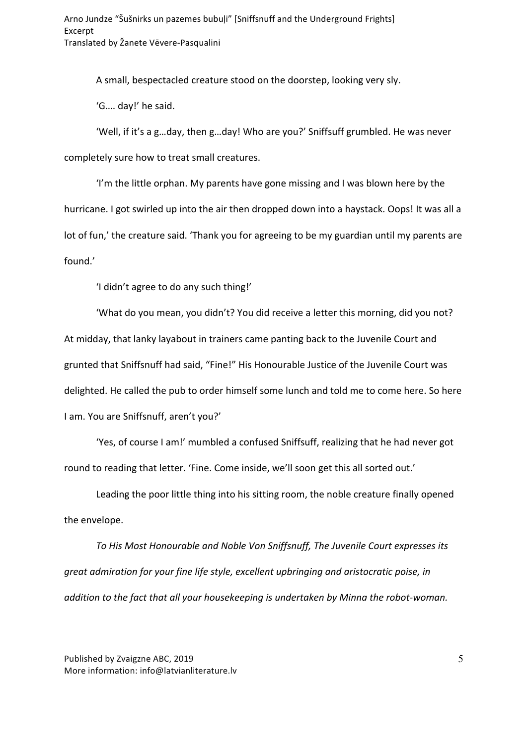A small, bespectacled creature stood on the doorstep, looking very sly.

'G.... day!' he said.

'Well, if it's a g...day, then g...day! Who are you?' Sniffsuff grumbled. He was never completely sure how to treat small creatures.

'I'm the little orphan. My parents have gone missing and I was blown here by the hurricane. I got swirled up into the air then dropped down into a haystack. Oops! It was all a lot of fun,' the creature said. 'Thank you for agreeing to be my guardian until my parents are found.' 

'I didn't agree to do any such thing!'

'What do you mean, you didn't? You did receive a letter this morning, did you not? At midday, that lanky layabout in trainers came panting back to the Juvenile Court and grunted that Sniffsnuff had said, "Fine!" His Honourable Justice of the Juvenile Court was delighted. He called the pub to order himself some lunch and told me to come here. So here I am. You are Sniffsnuff, aren't you?'

'Yes, of course I am!' mumbled a confused Sniffsuff, realizing that he had never got round to reading that letter. 'Fine. Come inside, we'll soon get this all sorted out.'

Leading the poor little thing into his sitting room, the noble creature finally opened the envelope.

To His Most Honourable and Noble Von Sniffsnuff, The Juvenile Court expresses its great admiration for your fine life style, excellent upbringing and aristocratic poise, in *addition* to the fact that all your housekeeping is undertaken by Minna the robot-woman.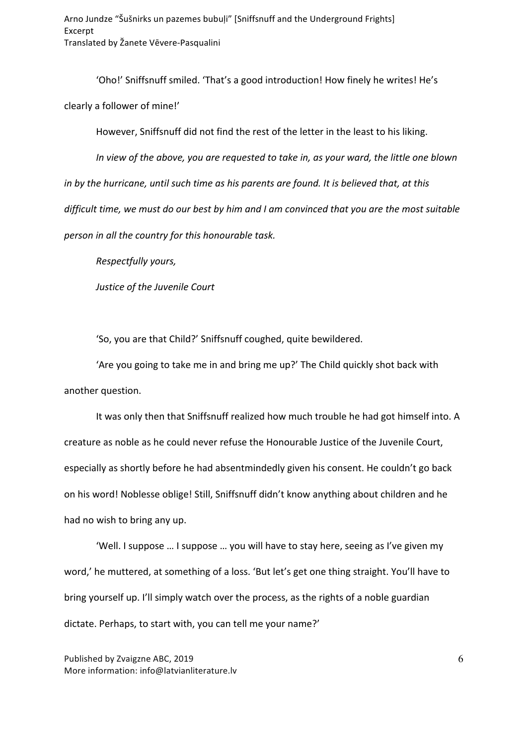'Oho!' Sniffsnuff smiled. 'That's a good introduction! How finely he writes! He's clearly a follower of mine!'

However, Sniffsnuff did not find the rest of the letter in the least to his liking.

In view of the above, you are requested to take in, as your ward, the little one blown *in* by the hurricane, until such time as his parents are found. It is believed that, at this difficult time, we must do our best by him and I am convinced that you are the most suitable *person in all the country for this honourable task.* 

*Respectfully yours,* 

*Justice of the Juvenile Court*

'So, you are that Child?' Sniffsnuff coughed, quite bewildered.

'Are you going to take me in and bring me up?' The Child quickly shot back with another question.

It was only then that Sniffsnuff realized how much trouble he had got himself into. A creature as noble as he could never refuse the Honourable Justice of the Juvenile Court, especially as shortly before he had absentmindedly given his consent. He couldn't go back on his word! Noblesse oblige! Still, Sniffsnuff didn't know anything about children and he had no wish to bring any up.

'Well. I suppose ... I suppose ... you will have to stay here, seeing as I've given my word,' he muttered, at something of a loss. 'But let's get one thing straight. You'll have to bring yourself up. I'll simply watch over the process, as the rights of a noble guardian dictate. Perhaps, to start with, you can tell me your name?'